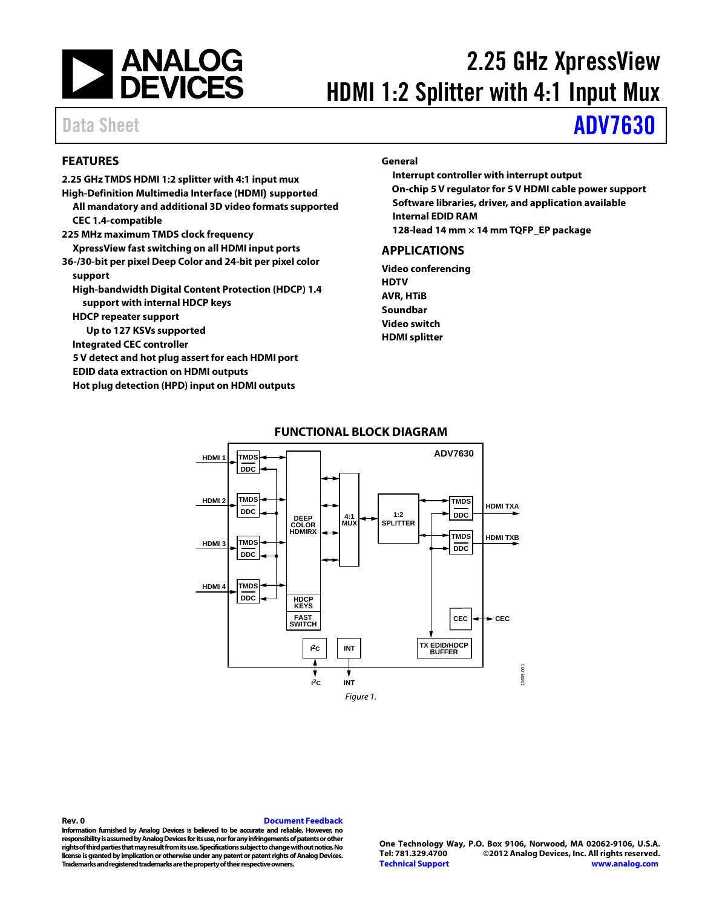

# 2.25 GHz XpressView HDMI 1:2 Splitter with 4:1 Input Mux

# Data Sheet **[ADV7630](http://www.analog.com/ADV7630)**

## <span id="page-0-0"></span>**FEATURES**

**2.25 GHz TMDS HDMI 1:2 splitter with 4:1 input mux High-Definition Multimedia Interface (HDMI) supported All mandatory and additional 3D video formats supported CEC 1.4-compatible 225 MHz maximum TMDS clock frequency XpressView fast switching on all HDMI input ports 36-/30-bit per pixel Deep Color and 24-bit per pixel color support High-bandwidth Digital Content Protection (HDCP) 1.4 support with internal HDCP keys HDCP repeater support Up to 127 KSVs supported Integrated CEC controller 5 V detect and hot plug assert for each HDMI port EDID data extraction on HDMI outputs Hot plug detection (HPD) input on HDMI outputs**

### **General**

**Interrupt controller with interrupt output On-chip 5 V regulator for 5 V HDMI cable power support Software libraries, driver, and application available Internal EDID RAM**

**128-lead 14 mm × 14 mm TQFP\_EP package**

### <span id="page-0-1"></span>**APPLICATIONS**

**Video conferencing HDTV AVR, HTiB Soundbar Video switch HDMI splitter**

<span id="page-0-2"></span>

### **FUNCTIONAL BLOCK DIAGRAM**

### **Rev. 0 [Document Feedback](https://form.analog.com/Form_Pages/feedback/documentfeedback.aspx?doc=%20ADV7360.pdf&page=%201&product=ADV7630&rev=0) Information furnished by Analog Devices is believed to be accurate and reliable. However, no responsibility is assumed by Analog Devices for its use, nor for any infringements of patents or other rights of third parties that may result from its use. Specifications subject to change without notice. No license is granted by implication or otherwise under any patent or patent rights of Analog Devices. Trademarks and registered trademarks are the property of their respective owners.**

**One Technology Way, P.O. Box 9106, Norwood, MA 02062-9106, U.S.A. Tel: 781.329.4700 ©2012 Analog Devices, Inc. All rights reserved. [Technical Support](http://www.analog.com/en/content/technical_support_page/fca.html) [www.analog.com](http://www.analog.com/)**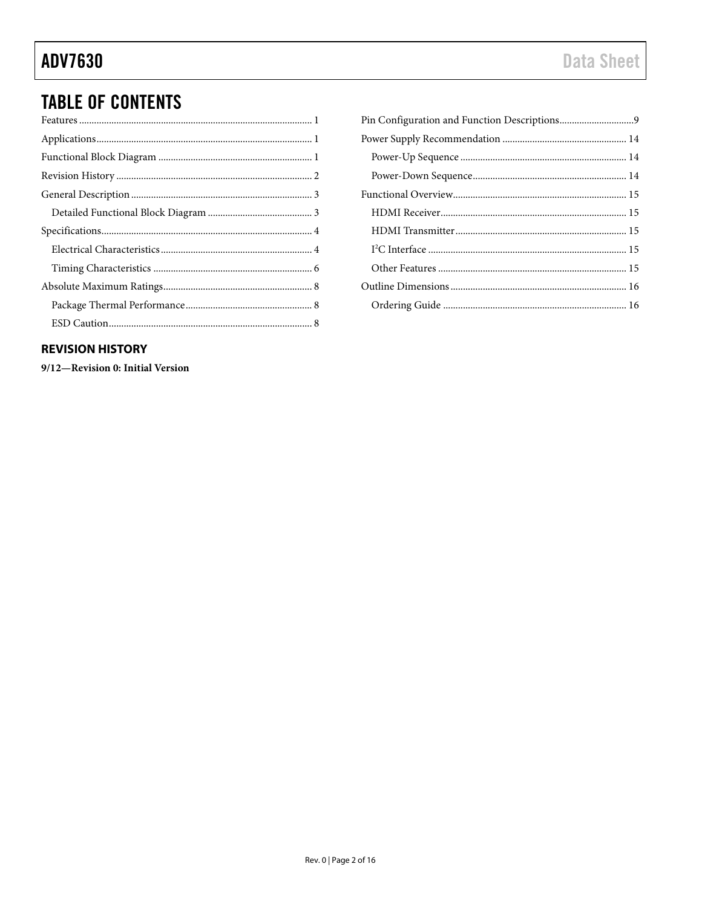# **TABLE OF CONTENTS**

# <span id="page-1-0"></span>**REVISION HISTORY**

9/12-Revision 0: Initial Version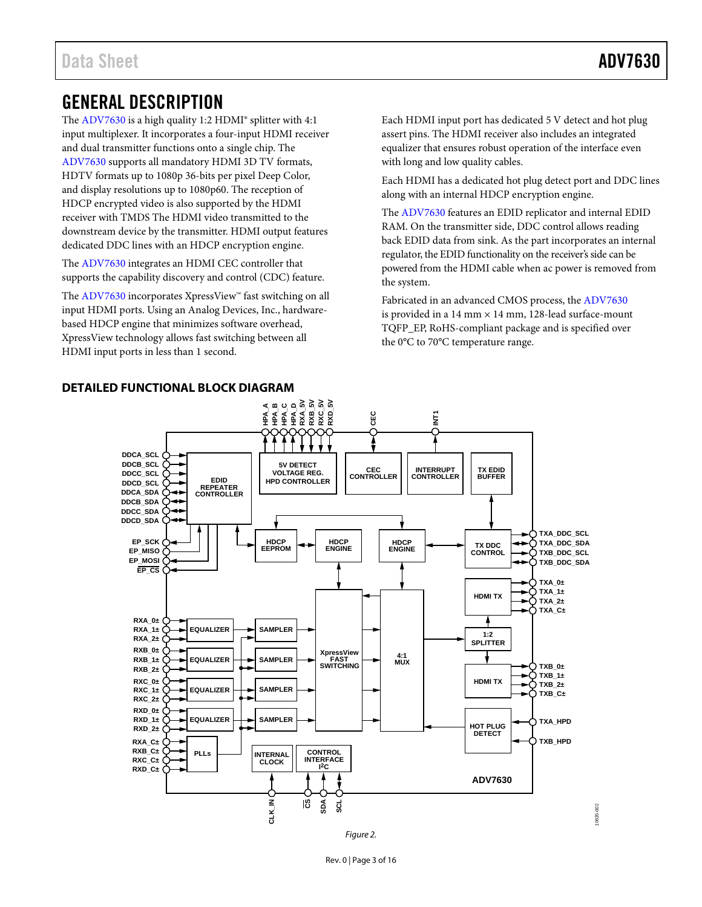# <span id="page-2-1"></span><span id="page-2-0"></span>GENERAL DESCRIPTION

The [ADV7630](http://www.analog.com/ADV7630) is a high quality 1:2 HDMI® splitter with 4:1 input multiplexer. It incorporates a four-input HDMI receiver and dual transmitter functions onto a single chip. The [ADV7630](http://www.analog.com/ADV7630) supports all mandatory HDMI 3D TV formats, HDTV formats up to 1080p 36-bits per pixel Deep Color, and display resolutions up to 1080p60. The reception of HDCP encrypted video is also supported by the HDMI receiver with TMDS The HDMI video transmitted to the downstream device by the transmitter. HDMI output features dedicated DDC lines with an HDCP encryption engine.

The [ADV7630](http://www.analog.com/ADV7630) integrates an HDMI CEC controller that supports the capability discovery and control (CDC) feature.

The [ADV7630](http://www.analog.com/ADV7630) incorporates XpressView™ fast switching on all input HDMI ports. Using an Analog Devices, Inc., hardwarebased HDCP engine that minimizes software overhead, XpressView technology allows fast switching between all HDMI input ports in less than 1 second.

Each HDMI input port has dedicated 5 V detect and hot plug assert pins. The HDMI receiver also includes an integrated equalizer that ensures robust operation of the interface even with long and low quality cables.

Each HDMI has a dedicated hot plug detect port and DDC lines along with an internal HDCP encryption engine.

The [ADV7630](http://www.analog.com/ADV7630) features an EDID replicator and internal EDID RAM. On the transmitter side, DDC control allows reading back EDID data from sink. As the part incorporates an internal regulator, the EDID functionality on the receiver's side can be powered from the HDMI cable when ac power is removed from the system.

Fabricated in an advanced CMOS process, th[e ADV7630](http://www.analog.com/ADV7630) is provided in a 14 mm  $\times$  14 mm, 128-lead surface-mount TQFP\_EP, RoHS-compliant package and is specified over the 0°C to 70°C temperature range.



**DETAILED FUNCTIONAL BLOCK DIAGRAM**

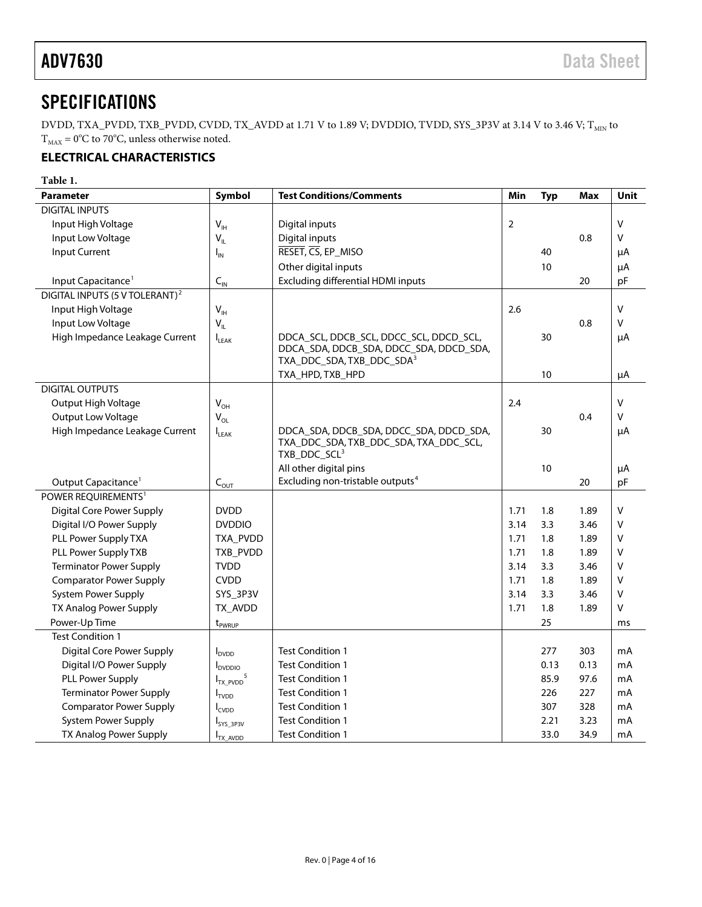# <span id="page-3-0"></span>**SPECIFICATIONS**

DVDD, TXA\_PVDD, TXB\_PVDD, CVDD, TX\_AVDD at 1.71 V to 1.89 V; DVDDIO, TVDD, SYS\_3P3V at 3.14 V to 3.46 V;  $T_{\text{MIN}}$  to  $T<sub>MAX</sub> = 0°C$  to 70°C, unless otherwise noted.

# <span id="page-3-1"></span>**ELECTRICAL CHARACTERISTICS**

| <b>Parameter</b>                           | Symbol                     | <b>Test Conditions/Comments</b>                                                                                             | Min  | <b>Typ</b> | Max  | Unit         |
|--------------------------------------------|----------------------------|-----------------------------------------------------------------------------------------------------------------------------|------|------------|------|--------------|
| <b>DIGITAL INPUTS</b>                      |                            |                                                                                                                             |      |            |      |              |
| Input High Voltage                         | $V_{\text{IH}}$            | Digital inputs                                                                                                              | 2    |            |      | $\vee$       |
| Input Low Voltage                          | $V_{IL}$                   | Digital inputs                                                                                                              |      |            | 0.8  | v            |
| <b>Input Current</b>                       | $I_{IN}$                   | RESET, CS, EP_MISO                                                                                                          |      | 40         |      | μA           |
|                                            |                            | Other digital inputs                                                                                                        |      | 10         |      | μA           |
| Input Capacitance <sup>1</sup>             | $C_{\text{IN}}$            | <b>Excluding differential HDMI inputs</b>                                                                                   |      |            | 20   | pF           |
| DIGITAL INPUTS (5 V TOLERANT) <sup>2</sup> |                            |                                                                                                                             |      |            |      |              |
| Input High Voltage                         | $\mathsf{V}_{\mathsf{IH}}$ |                                                                                                                             | 2.6  |            |      | V            |
| Input Low Voltage                          | $V_{IL}$                   |                                                                                                                             |      |            | 0.8  | v            |
| High Impedance Leakage Current             | LEAK                       | DDCA_SCL, DDCB_SCL, DDCC_SCL, DDCD_SCL,<br>DDCA_SDA, DDCB_SDA, DDCC_SDA, DDCD_SDA,<br>TXA_DDC_SDA, TXB_DDC_SDA <sup>3</sup> |      | 30         |      | μA           |
|                                            |                            | TXA_HPD, TXB_HPD                                                                                                            |      | 10         |      | μA           |
| <b>DIGITAL OUTPUTS</b>                     |                            |                                                                                                                             |      |            |      |              |
| Output High Voltage                        | $V_{OH}$                   |                                                                                                                             | 2.4  |            |      | $\mathsf{V}$ |
| Output Low Voltage                         | $V_{OL}$                   |                                                                                                                             |      |            | 0.4  | v            |
| High Impedance Leakage Current             | LEAK                       | DDCA_SDA, DDCB_SDA, DDCC_SDA, DDCD_SDA,<br>TXA_DDC_SDA, TXB_DDC_SDA, TXA_DDC_SCL,<br>TXB_DDC_SCL <sup>3</sup>               |      | 30         |      | μA           |
|                                            |                            | All other digital pins                                                                                                      |      | 10         |      | μA           |
| Output Capacitance <sup>1</sup>            | $C_{\text{OUT}}$           | Excluding non-tristable outputs <sup>4</sup>                                                                                |      |            | 20   | pF           |
| POWER REQUIREMENTS <sup>1</sup>            |                            |                                                                                                                             |      |            |      |              |
| Digital Core Power Supply                  | <b>DVDD</b>                |                                                                                                                             | 1.71 | 1.8        | 1.89 | $\vee$       |
| Digital I/O Power Supply                   | <b>DVDDIO</b>              |                                                                                                                             | 3.14 | 3.3        | 3.46 | v            |
| PLL Power Supply TXA                       | TXA_PVDD                   |                                                                                                                             | 1.71 | 1.8        | 1.89 | $\vee$       |
| PLL Power Supply TXB                       | TXB_PVDD                   |                                                                                                                             | 1.71 | 1.8        | 1.89 | $\vee$       |
| <b>Terminator Power Supply</b>             | <b>TVDD</b>                |                                                                                                                             | 3.14 | 3.3        | 3.46 | V            |
| <b>Comparator Power Supply</b>             | <b>CVDD</b>                |                                                                                                                             | 1.71 | 1.8        | 1.89 | v            |
| <b>System Power Supply</b>                 | SYS_3P3V                   |                                                                                                                             | 3.14 | 3.3        | 3.46 | V            |
| TX Analog Power Supply                     | TX_AVDD                    |                                                                                                                             | 1.71 | 1.8        | 1.89 | $\vee$       |
| Power-Up Time                              | $t_{PWRUP}$                |                                                                                                                             |      | 25         |      | ms           |
| <b>Test Condition 1</b>                    |                            |                                                                                                                             |      |            |      |              |
| <b>Digital Core Power Supply</b>           | <b>I</b> <sub>DVDD</sub>   | <b>Test Condition 1</b>                                                                                                     |      | 277        | 303  | mA           |
| Digital I/O Power Supply                   | <b>I</b> <sub>DVDDIO</sub> | <b>Test Condition 1</b>                                                                                                     |      | 0.13       | 0.13 | mA           |
| <b>PLL Power Supply</b>                    | $I_{TX_PVDD}^5$            | <b>Test Condition 1</b>                                                                                                     |      | 85.9       | 97.6 | mA           |
| <b>Terminator Power Supply</b>             | $I_{TVDD}$                 | <b>Test Condition 1</b>                                                                                                     |      | 226        | 227  | mA           |
| <b>Comparator Power Supply</b>             | <b>I</b> CVDD              | <b>Test Condition 1</b>                                                                                                     |      | 307        | 328  | mA           |
| System Power Supply                        | I <sub>SYS_3P3V</sub>      | <b>Test Condition 1</b>                                                                                                     |      | 2.21       | 3.23 | mA           |
| TX Analog Power Supply                     | I <sub>TX_AVDD</sub>       | <b>Test Condition 1</b>                                                                                                     |      | 33.0       | 34.9 | mA           |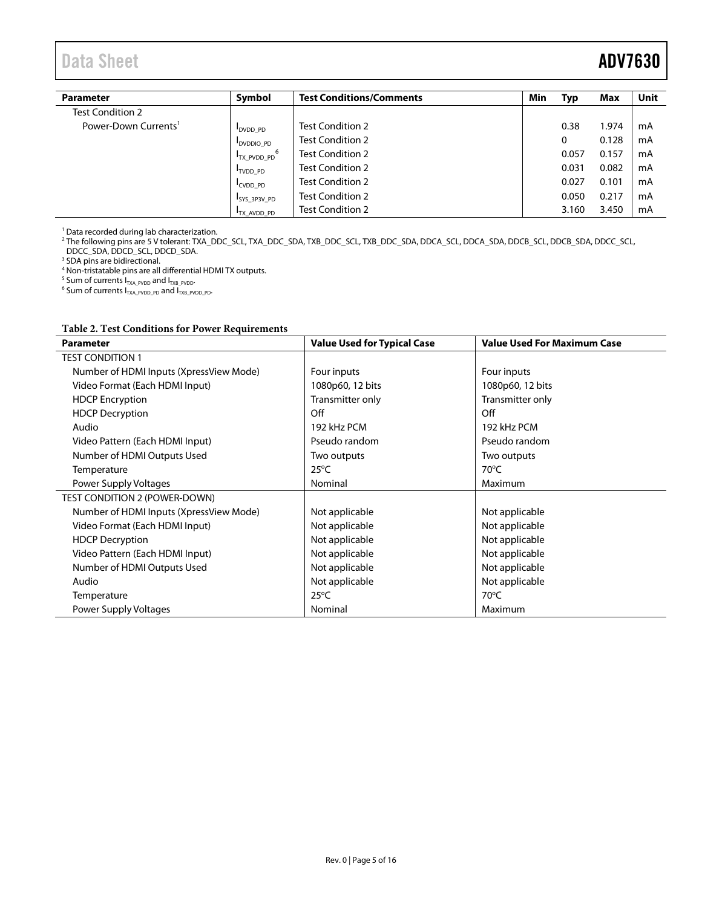# Data Sheet **ADV7630**

| <b>Parameter</b>                 | Symbol                       | <b>Test Conditions/Comments</b> | Min | Typ   | Max   | Unit |
|----------------------------------|------------------------------|---------------------------------|-----|-------|-------|------|
| Test Condition 2                 |                              |                                 |     |       |       |      |
| Power-Down Currents <sup>1</sup> | DVDD PD                      | <b>Test Condition 2</b>         |     | 0.38  | 1.974 | mA   |
|                                  | <b>DVDDIO PD</b>             | <b>Test Condition 2</b>         |     | 0     | 0.128 | mA   |
|                                  | 6<br><sup>I</sup> TX PVDD PD | <b>Test Condition 2</b>         |     | 0.057 | 0.157 | mA   |
|                                  | TVDD PD                      | <b>Test Condition 2</b>         |     | 0.031 | 0.082 | mA   |
|                                  | CVDD PD                      | <b>Test Condition 2</b>         |     | 0.027 | 0.101 | mA   |
|                                  | ISYS 3P3V PD                 | <b>Test Condition 2</b>         |     | 0.050 | 0.217 | mA   |
|                                  | <b>I</b> TX AVDD PD          | <b>Test Condition 2</b>         |     | 3.160 | 3.450 | mA   |

<span id="page-4-0"></span><sup>1</sup> Data recorded during lab characterization.

<span id="page-4-1"></span><sup>2</sup> The following pins are 5 V tolerant: TXA\_DDC\_SCL, TXA\_DDC\_SDA, TXB\_DDC\_SCL, TXB\_DDC\_SDA, DDCA\_SCL, DDCA\_SDA, DDCB\_SCL, DDCB\_SDA, DDCC\_SCL,

DDCC\_SDA, DDCD\_SCL, DDCD\_SDA. <sup>3</sup> SDA pins are bidirectional.

<sup>4</sup> Non-tristatable pins are all differential HDMI TX outputs.

<span id="page-4-4"></span><span id="page-4-3"></span><span id="page-4-2"></span>5 Sum of currents  $I_{TxA\_PVDD}$  and  $I_{TXB\_PVDD}$ <br>6 Sum of currents  $I_{TXA\_PVDD\_PD}$  and  $I_{TXB\_PVDD\_PD}$ .

| <b>Parameter</b>                        | <b>Value Used for Typical Case</b> | <b>Value Used For Maximum Case</b> |
|-----------------------------------------|------------------------------------|------------------------------------|
| <b>TEST CONDITION 1</b>                 |                                    |                                    |
| Number of HDMI Inputs (XpressView Mode) | Four inputs                        | Four inputs                        |
| Video Format (Each HDMI Input)          | 1080p60, 12 bits                   | 1080p60, 12 bits                   |
| <b>HDCP</b> Encryption                  | Transmitter only                   | Transmitter only                   |
| <b>HDCP Decryption</b>                  | Off                                | Off                                |
| Audio                                   | 192 kHz PCM                        | 192 kHz PCM                        |
| Video Pattern (Each HDMI Input)         | Pseudo random                      | Pseudo random                      |
| Number of HDMI Outputs Used             | Two outputs                        | Two outputs                        |
| Temperature                             | $25^{\circ}$ C                     | $70^{\circ}$ C                     |
| Power Supply Voltages                   | Nominal                            | Maximum                            |
| TEST CONDITION 2 (POWER-DOWN)           |                                    |                                    |
| Number of HDMI Inputs (XpressView Mode) | Not applicable                     | Not applicable                     |
| Video Format (Each HDMI Input)          | Not applicable                     | Not applicable                     |
| <b>HDCP</b> Decryption                  | Not applicable                     | Not applicable                     |
| Video Pattern (Each HDMI Input)         | Not applicable                     | Not applicable                     |
| Number of HDMI Outputs Used             | Not applicable                     | Not applicable                     |
| Audio                                   | Not applicable                     | Not applicable                     |
| Temperature                             | $25^{\circ}$ C                     | $70^{\circ}$ C                     |
| Power Supply Voltages                   | Nominal                            | Maximum                            |

## **Table 2. Test Conditions for Power Requirements**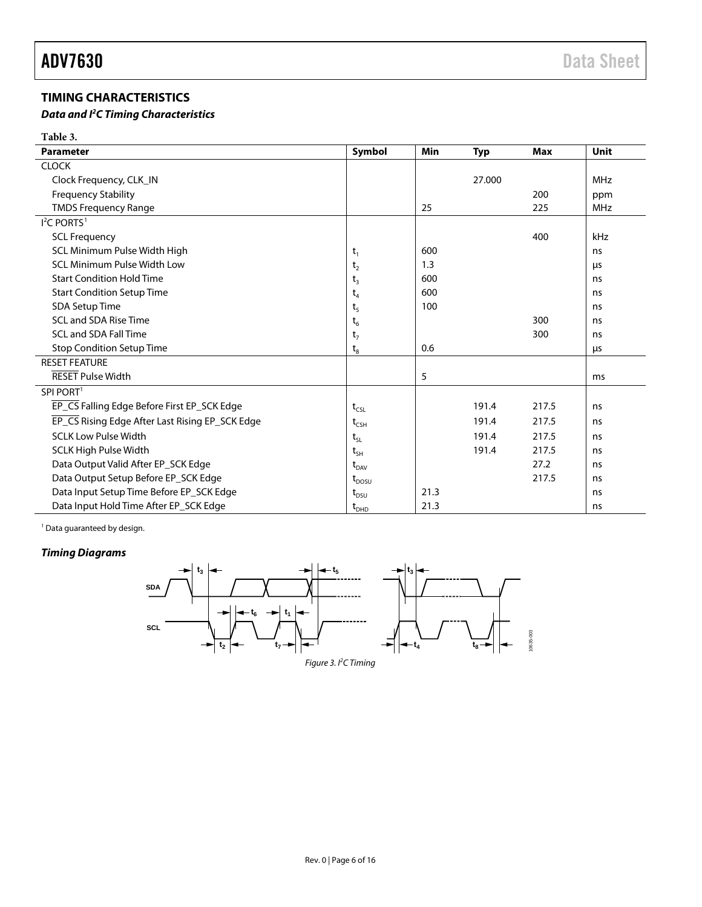# <span id="page-5-0"></span>**TIMING CHARACTERISTICS**

### *Data and I 2 C Timing Characteristics*

**Table 3.**

| Parameter                                       | Symbol                           | Min  | <b>Typ</b> | <b>Max</b> | <b>Unit</b> |
|-------------------------------------------------|----------------------------------|------|------------|------------|-------------|
| <b>CLOCK</b>                                    |                                  |      |            |            |             |
| Clock Frequency, CLK_IN                         |                                  |      | 27.000     |            | <b>MHz</b>  |
| <b>Frequency Stability</b>                      |                                  |      |            | 200        | ppm         |
| <b>TMDS Frequency Range</b>                     |                                  | 25   |            | 225        | <b>MHz</b>  |
| $I2$ C PORTS <sup>1</sup>                       |                                  |      |            |            |             |
| <b>SCL Frequency</b>                            |                                  |      |            | 400        | kHz         |
| SCL Minimum Pulse Width High                    | $t_1$                            | 600  |            |            | ns          |
| <b>SCL Minimum Pulse Width Low</b>              | t <sub>2</sub>                   | 1.3  |            |            | μs          |
| <b>Start Condition Hold Time</b>                | $t_3$                            | 600  |            |            | ns          |
| <b>Start Condition Setup Time</b>               | $\mathsf{t}_4$                   | 600  |            |            | ns          |
| SDA Setup Time                                  | t <sub>5</sub>                   | 100  |            |            | ns          |
| SCL and SDA Rise Time                           | $t_6$                            |      |            | 300        | ns          |
| <b>SCL and SDA Fall Time</b>                    | $t_7$                            |      |            | 300        | ns          |
| <b>Stop Condition Setup Time</b>                | $\rm t_s$                        | 0.6  |            |            | μs          |
| <b>RESET FEATURE</b>                            |                                  |      |            |            |             |
| <b>RESET Pulse Width</b>                        |                                  | 5    |            |            | ms          |
| SPI PORT <sup>1</sup>                           |                                  |      |            |            |             |
| EP_CS Falling Edge Before First EP_SCK Edge     | $t_{CSL}$                        |      | 191.4      | 217.5      | ns          |
| EP_CS Rising Edge After Last Rising EP_SCK Edge | $t_{CSH}$                        |      | 191.4      | 217.5      | ns          |
| <b>SCLK Low Pulse Width</b>                     | $t_{\rm SL}$                     |      | 191.4      | 217.5      | ns          |
| <b>SCLK High Pulse Width</b>                    | $t_{SH}$                         |      | 191.4      | 217.5      | ns          |
| Data Output Valid After EP SCK Edge             | $\rm t_{_{DAV}}$                 |      |            | 27.2       | ns          |
| Data Output Setup Before EP_SCK Edge            | $t_{DOSU}$                       |      |            | 217.5      | ns          |
| Data Input Setup Time Before EP_SCK Edge        | $\rm t_{\scriptscriptstyle DSU}$ | 21.3 |            |            | ns          |
| Data Input Hold Time After EP SCK Edge          | $\rm t_{\scriptscriptstyle DHD}$ | 21.3 |            |            | ns          |

<sup>1</sup> Data guaranteed by design.

# *Timing Diagrams*

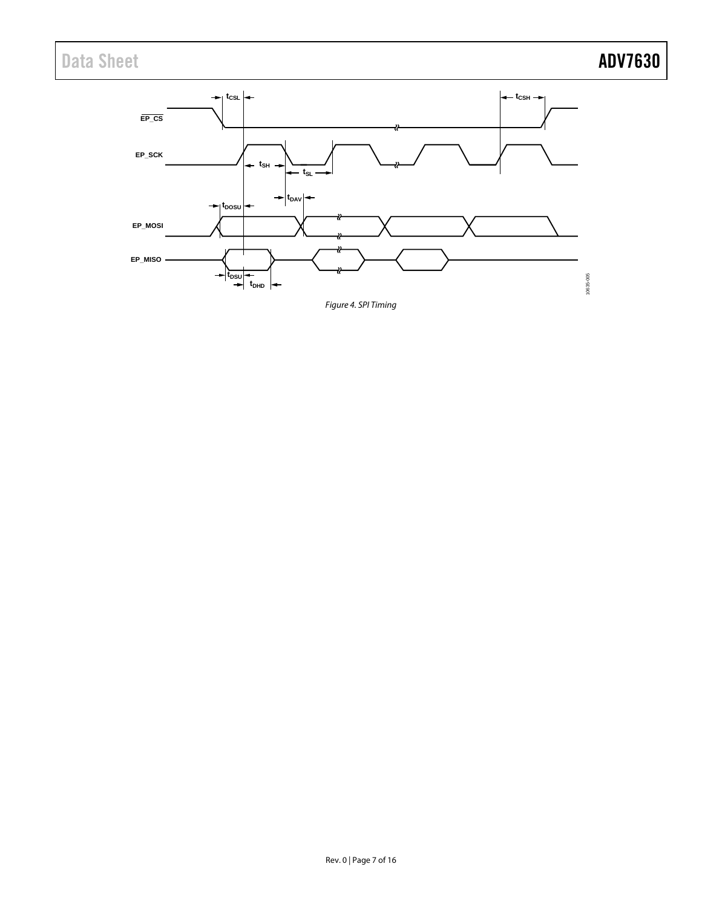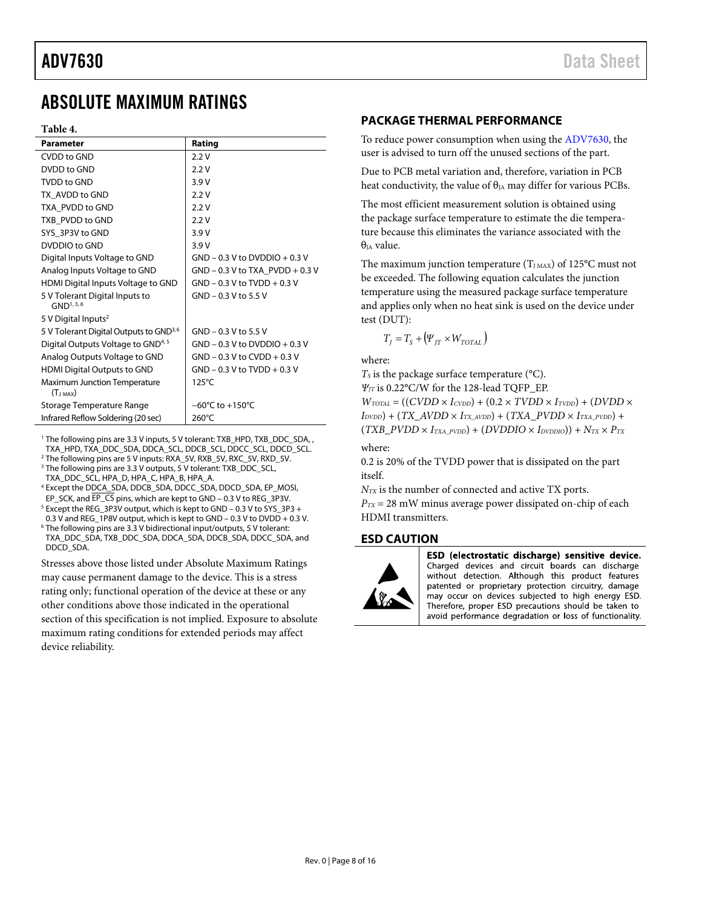# <span id="page-7-0"></span>ABSOLUTE MAXIMUM RATINGS

### **Table 4.**

| <b>Parameter</b>                                   | Rating                              |
|----------------------------------------------------|-------------------------------------|
| CVDD to GND                                        | 2.2V                                |
| DVDD to GND                                        | 2.2V                                |
| TVDD to GND                                        | 3.9 V                               |
| TX AVDD to GND                                     | 2.2V                                |
| TXA PVDD to GND                                    | 2.2V                                |
| TXB PVDD to GND                                    | 2.2V                                |
| SYS 3P3V to GND                                    | 3.9V                                |
| DVDDIO to GND                                      | 3.9V                                |
| Digital Inputs Voltage to GND                      | $GND - 0.3 V$ to DVDDIO + 0.3 V     |
| Analog Inputs Voltage to GND                       | GND - 0.3 V to TXA_PVDD + 0.3 V     |
| HDMI Digital Inputs Voltage to GND                 | $GND - 0.3$ V to $TVDD + 0.3$ V     |
| 5 V Tolerant Digital Inputs to<br>$GND^{1, 3, 6}$  | GND - 0.3 V to 5.5 V                |
| 5 V Digital Inputs <sup>2</sup>                    |                                     |
| 5 V Tolerant Digital Outputs to GND <sup>3,6</sup> | GND - 0.3 V to 5.5 V                |
| Digital Outputs Voltage to GND <sup>4, 5</sup>     | $GND - 0.3 V$ to DVDDIO + 0.3 V     |
| Analog Outputs Voltage to GND                      | $GND - 0.3$ V to $CVDD + 0.3$ V     |
| <b>HDMI Digital Outputs to GND</b>                 | $GND - 0.3$ V to TVDD + 0.3 V       |
| Maximum Junction Temperature                       | $125^{\circ}$ C                     |
| $(T_{J MAX})$                                      |                                     |
| Storage Temperature Range                          | $-60^{\circ}$ C to $+150^{\circ}$ C |
| Infrared Reflow Soldering (20 sec)                 | 260°C                               |

<sup>1</sup> The following pins are 3.3 V inputs, 5 V tolerant: TXB\_HPD, TXB\_DDC\_SDA,, TXA\_HPD, TXA\_DDC\_SDA, DDCA\_SCL, DDCB\_SCL, DDCC\_SCL, DDCD\_SCL.

2 The following pins are 5 V inputs: RXA\_5V, RXB\_5V, RXC\_5V, RXD\_5V.

<sup>3</sup> The following pins are 3.3 V outputs, 5 V tolerant: TXB\_DDC\_SCL,

TXA\_DDC\_SCL, HPA\_D, HPA\_C, HPA\_B, HPA\_A.

4 Except the DDCA\_SDA, DDCB\_SDA, DDCC\_SDA, DDCD\_SDA, EP\_MOSI, EP\_SCK, and  $\overline{EP\_CS}$  pins, which are kept to GND – 0.3 V to REG\_3P3V.

 Except the REG\_3P3V output, which is kept to GND – 0.3 V to SYS\_3P3 + 0.3 V and REG\_1P8V output, which is kept to GND - 0.3 V to DVDD + 0.3 V. The following pins are 3.3 V bidirectional input/outputs, 5 V tolerant:

TXA\_DDC\_SDA, TXB\_DDC\_SDA, DDCA\_SDA, DDCB\_SDA, DDCC\_SDA, and DDCD\_SDA.

Stresses above those listed under Absolute Maximum Ratings may cause permanent damage to the device. This is a stress rating only; functional operation of the device at these or any

other conditions above those indicated in the operational section of this specification is not implied. Exposure to absolute maximum rating conditions for extended periods may affect device reliability.

### <span id="page-7-1"></span>**PACKAGE THERMAL PERFORMANCE**

To reduce power consumption when using the [ADV7630,](http://www.analog.com/ADV7630) the user is advised to turn off the unused sections of the part.

Due to PCB metal variation and, therefore, variation in PCB heat conductivity, the value of  $\theta_{IA}$  may differ for various PCBs.

The most efficient measurement solution is obtained using the package surface temperature to estimate the die temperature because this eliminates the variance associated with the  $\theta$ <sub>IA</sub> value.

The maximum junction temperature  $(T_{JMAX})$  of 125°C must not be exceeded. The following equation calculates the junction temperature using the measured package surface temperature and applies only when no heat sink is used on the device under test (DUT):

$$
T_{J} = T_{S} + (\Psi_{JT} \times W_{TOTAL})
$$

where:

 $T<sub>S</sub>$  is the package surface temperature ( $\rm{^{\circ}C}$ ).

*ΨJT* is 0.22°C/W for the 128-lead TQFP\_EP.

 $W_{TOTAL}$  = ((*CVDD* ×  $I_{CVDD}$ ) + (0.2 ×  $TVDD$  ×  $I_{TVDD}$ ) + (*DVDD* × *IDVDD*) + (*TX\_AVDD* × *ITX\_AVDD*) + (*TXA\_PVDD* × *ITXA\_PVDD*) +  $(TXB\_PVDD \times I_{TXA\_PVDD}) + (DVDDIO \times I_{DVDDIO}) + N_{TX} \times P_{TX}$ 

where:

0.2 is 20% of the TVDD power that is dissipated on the part itself.

*N<sub>TX</sub>* is the number of connected and active TX ports.

 $P_{TX} = 28$  mW minus average power dissipated on-chip of each HDMI transmitters.

### <span id="page-7-2"></span>**ESD CAUTION**



ESD (electrostatic discharge) sensitive device. Charged devices and circuit boards can discharge without detection. Although this product features patented or proprietary protection circuitry, damage may occur on devices subjected to high energy ESD. Therefore, proper ESD precautions should be taken to avoid performance degradation or loss of functionality.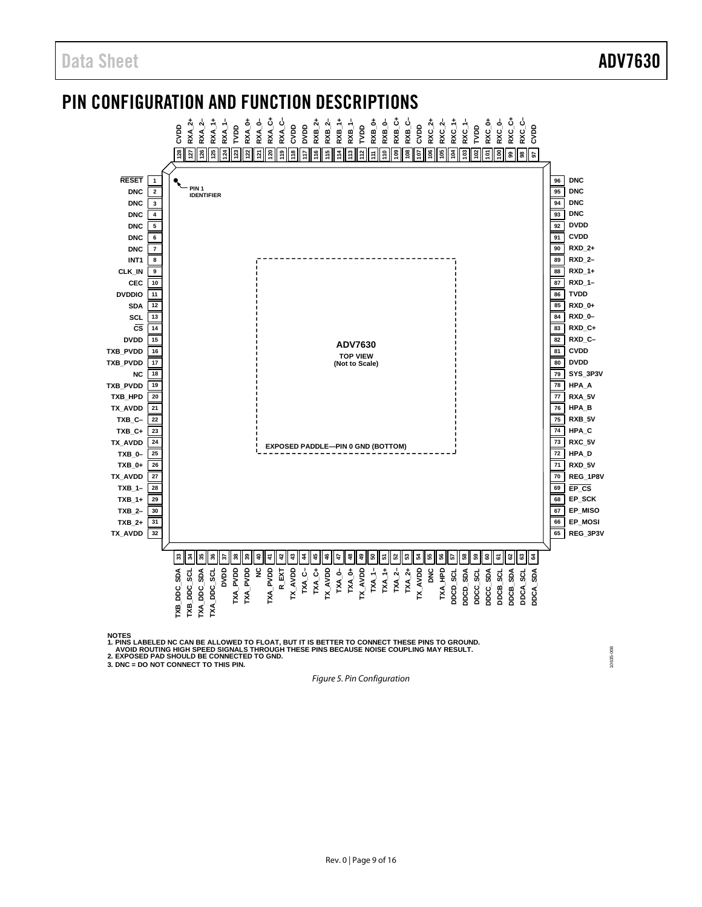### <span id="page-8-0"></span>PIN CONFIGURATION AND FUNCTION DESCRIPTIONS **RXA\_2+ RXA\_0+ RXA\_0– RXA\_C+ RXA\_C– CVDD DVDD RXB\_2+ RXB\_2– RXB\_1+ RXB\_1– TVDD RXB\_0+ RXB\_0– RXB\_C+ RXB\_C– RXC\_C+ RXC\_C– CVDD RXA\_1+ RXA\_1– RXC\_2+ RXC\_2– RXC\_1+ RXC\_1– TVDD RXC\_0+ RXC\_0– TVDD CVDD** cop **RXA\_2– 121 117 112 128 127 126 125 124 123 122 120 119 118 116 115 114 113 111 110 109 108 107 106 105 104 103 102 101 100 99 98 97 1 PIN 1 DNC 2 IDENTIFIER**



NOTES<br>1. PINS LABELED NC CAN BE ALLOWED TO FLOAT, BUT IT IS BETTER TO CONNECT THESE PINS TO GROUND.<br>2. EXPOSED PAD SHOULD BE CONNECTED TO GND.<br>2. EXPOSED PAD SHOULD BE CONNECTED TO GND.<br>3. DNC = DO NOT CONNECT TO THIS PIN.

<span id="page-8-1"></span>

*Figure 5. Pin Configuration*

10635-008 10635-008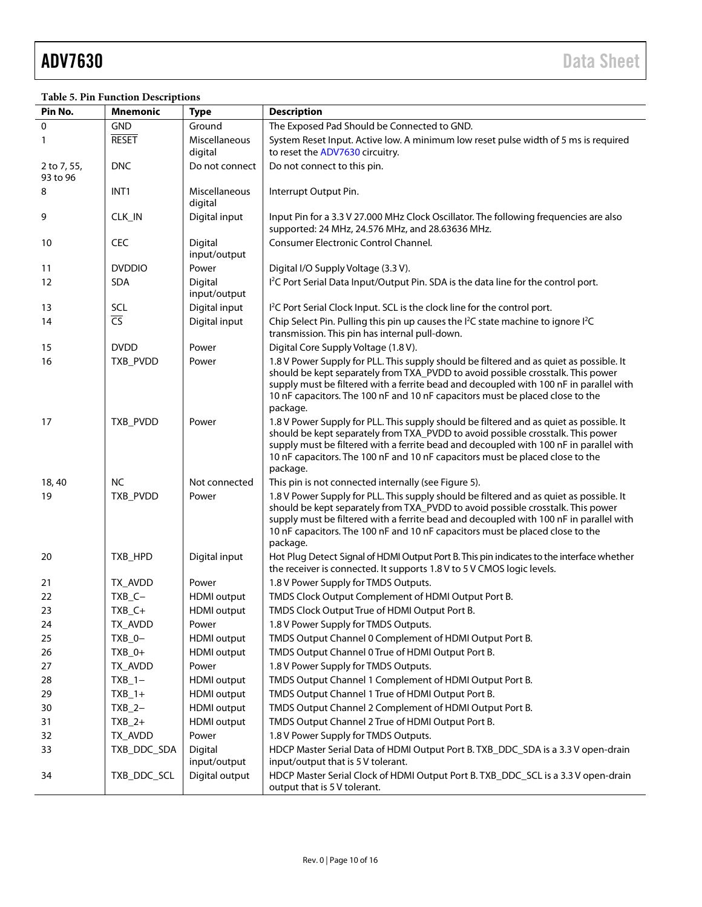# **Table 5. Pin Function Descriptions**

| Pin No.                 | Mnemonic                 | <b>Type</b>              | <b>Description</b>                                                                                                                                                                                                                                                                                                                                                |
|-------------------------|--------------------------|--------------------------|-------------------------------------------------------------------------------------------------------------------------------------------------------------------------------------------------------------------------------------------------------------------------------------------------------------------------------------------------------------------|
| 0                       | GND                      | Ground                   | The Exposed Pad Should be Connected to GND.                                                                                                                                                                                                                                                                                                                       |
| 1                       | <b>RESET</b>             | Miscellaneous<br>digital | System Reset Input. Active low. A minimum low reset pulse width of 5 ms is required<br>to reset the ADV7630 circuitry.                                                                                                                                                                                                                                            |
| 2 to 7, 55,<br>93 to 96 | <b>DNC</b>               | Do not connect           | Do not connect to this pin.                                                                                                                                                                                                                                                                                                                                       |
| 8                       | INT <sub>1</sub>         | Miscellaneous<br>digital | Interrupt Output Pin.                                                                                                                                                                                                                                                                                                                                             |
| 9                       | CLK_IN                   | Digital input            | Input Pin for a 3.3 V 27.000 MHz Clock Oscillator. The following frequencies are also<br>supported: 24 MHz, 24.576 MHz, and 28.63636 MHz.                                                                                                                                                                                                                         |
| 10                      | CEC                      | Digital<br>input/output  | <b>Consumer Electronic Control Channel.</b>                                                                                                                                                                                                                                                                                                                       |
| 11                      | <b>DVDDIO</b>            | Power                    | Digital I/O Supply Voltage (3.3 V).                                                                                                                                                                                                                                                                                                                               |
| 12                      | <b>SDA</b>               | Digital<br>input/output  | I <sup>2</sup> C Port Serial Data Input/Output Pin. SDA is the data line for the control port.                                                                                                                                                                                                                                                                    |
| 13                      | SCL                      | Digital input            | I <sup>2</sup> C Port Serial Clock Input. SCL is the clock line for the control port.                                                                                                                                                                                                                                                                             |
| 14                      | $\overline{\mathsf{CS}}$ | Digital input            | Chip Select Pin. Pulling this pin up causes the I <sup>2</sup> C state machine to ignore I <sup>2</sup> C<br>transmission. This pin has internal pull-down.                                                                                                                                                                                                       |
| 15                      | <b>DVDD</b>              | Power                    | Digital Core Supply Voltage (1.8 V).                                                                                                                                                                                                                                                                                                                              |
| 16                      | TXB_PVDD                 | Power                    | 1.8 V Power Supply for PLL. This supply should be filtered and as quiet as possible. It<br>should be kept separately from TXA_PVDD to avoid possible crosstalk. This power<br>supply must be filtered with a ferrite bead and decoupled with 100 nF in parallel with<br>10 nF capacitors. The 100 nF and 10 nF capacitors must be placed close to the<br>package. |
| 17                      | TXB_PVDD                 | Power                    | 1.8 V Power Supply for PLL. This supply should be filtered and as quiet as possible. It<br>should be kept separately from TXA_PVDD to avoid possible crosstalk. This power<br>supply must be filtered with a ferrite bead and decoupled with 100 nF in parallel with<br>10 nF capacitors. The 100 nF and 10 nF capacitors must be placed close to the<br>package. |
| 18,40                   | <b>NC</b>                | Not connected            | This pin is not connected internally (see Figure 5).                                                                                                                                                                                                                                                                                                              |
| 19                      | TXB_PVDD                 | Power                    | 1.8 V Power Supply for PLL. This supply should be filtered and as quiet as possible. It<br>should be kept separately from TXA_PVDD to avoid possible crosstalk. This power<br>supply must be filtered with a ferrite bead and decoupled with 100 nF in parallel with<br>10 nF capacitors. The 100 nF and 10 nF capacitors must be placed close to the<br>package. |
| 20                      | TXB_HPD                  | Digital input            | Hot Plug Detect Signal of HDMI Output Port B. This pin indicates to the interface whether<br>the receiver is connected. It supports 1.8 V to 5 V CMOS logic levels.                                                                                                                                                                                               |
| 21                      | TX AVDD                  | Power                    | 1.8 V Power Supply for TMDS Outputs.                                                                                                                                                                                                                                                                                                                              |
| 22                      | $TXB_C -$                | <b>HDMI</b> output       | TMDS Clock Output Complement of HDMI Output Port B.                                                                                                                                                                                                                                                                                                               |
| 23                      | $TXB_C+$                 | <b>HDMI</b> output       | TMDS Clock Output True of HDMI Output Port B.                                                                                                                                                                                                                                                                                                                     |
| 24                      | TX_AVDD                  | Power                    | 1.8 V Power Supply for TMDS Outputs.                                                                                                                                                                                                                                                                                                                              |
| 25                      | $TXB_0-$                 | <b>HDMI</b> output       | TMDS Output Channel 0 Complement of HDMI Output Port B.                                                                                                                                                                                                                                                                                                           |
| 26                      | $TXB_0+$                 | <b>HDMI</b> output       | TMDS Output Channel 0 True of HDMI Output Port B.                                                                                                                                                                                                                                                                                                                 |
| 27                      | TX_AVDD                  | Power                    | 1.8 V Power Supply for TMDS Outputs.                                                                                                                                                                                                                                                                                                                              |
| 28                      | $TXB_1 -$                | <b>HDMI</b> output       | TMDS Output Channel 1 Complement of HDMI Output Port B.                                                                                                                                                                                                                                                                                                           |
| 29                      | $TXB_1+$                 | <b>HDMI</b> output       | TMDS Output Channel 1 True of HDMI Output Port B.                                                                                                                                                                                                                                                                                                                 |
| 30                      | $TXB_2-$                 | <b>HDMI</b> output       | TMDS Output Channel 2 Complement of HDMI Output Port B.                                                                                                                                                                                                                                                                                                           |
| 31                      | $TXB_2+$                 | <b>HDMI</b> output       | TMDS Output Channel 2 True of HDMI Output Port B.                                                                                                                                                                                                                                                                                                                 |
| 32                      | TX_AVDD                  | Power                    | 1.8 V Power Supply for TMDS Outputs.                                                                                                                                                                                                                                                                                                                              |
| 33                      | TXB_DDC_SDA              | Digital<br>input/output  | HDCP Master Serial Data of HDMI Output Port B. TXB_DDC_SDA is a 3.3 V open-drain<br>input/output that is 5 V tolerant.                                                                                                                                                                                                                                            |
| 34                      | TXB_DDC_SCL              | Digital output           | HDCP Master Serial Clock of HDMI Output Port B. TXB_DDC_SCL is a 3.3 V open-drain<br>output that is 5 V tolerant.                                                                                                                                                                                                                                                 |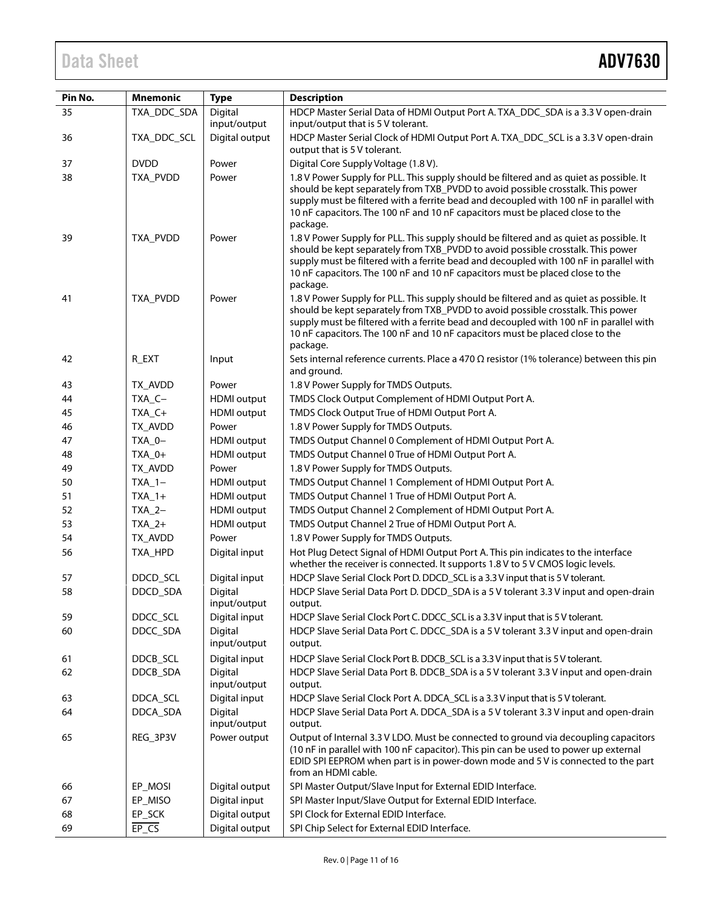# Data Sheet **ADV7630**

| Pin No. | <b>Mnemonic</b> | <b>Type</b>             | <b>Description</b>                                                                                                                                                                                                                                                                                                                                                |
|---------|-----------------|-------------------------|-------------------------------------------------------------------------------------------------------------------------------------------------------------------------------------------------------------------------------------------------------------------------------------------------------------------------------------------------------------------|
| 35      | TXA_DDC_SDA     | Digital                 | HDCP Master Serial Data of HDMI Output Port A. TXA_DDC_SDA is a 3.3 V open-drain                                                                                                                                                                                                                                                                                  |
|         |                 | input/output            | input/output that is 5 V tolerant.                                                                                                                                                                                                                                                                                                                                |
| 36      | TXA_DDC_SCL     | Digital output          | HDCP Master Serial Clock of HDMI Output Port A. TXA_DDC_SCL is a 3.3 V open-drain<br>output that is 5 V tolerant.                                                                                                                                                                                                                                                 |
| 37      | <b>DVDD</b>     | Power                   | Digital Core Supply Voltage (1.8 V).                                                                                                                                                                                                                                                                                                                              |
| 38      | TXA_PVDD        | Power                   | 1.8 V Power Supply for PLL. This supply should be filtered and as quiet as possible. It<br>should be kept separately from TXB_PVDD to avoid possible crosstalk. This power<br>supply must be filtered with a ferrite bead and decoupled with 100 nF in parallel with<br>10 nF capacitors. The 100 nF and 10 nF capacitors must be placed close to the<br>package. |
| 39      | TXA_PVDD        | Power                   | 1.8 V Power Supply for PLL. This supply should be filtered and as quiet as possible. It<br>should be kept separately from TXB_PVDD to avoid possible crosstalk. This power<br>supply must be filtered with a ferrite bead and decoupled with 100 nF in parallel with<br>10 nF capacitors. The 100 nF and 10 nF capacitors must be placed close to the<br>package. |
| 41      | TXA_PVDD        | Power                   | 1.8 V Power Supply for PLL. This supply should be filtered and as quiet as possible. It<br>should be kept separately from TXB_PVDD to avoid possible crosstalk. This power<br>supply must be filtered with a ferrite bead and decoupled with 100 nF in parallel with<br>10 nF capacitors. The 100 nF and 10 nF capacitors must be placed close to the<br>package. |
| 42      | R_EXT           | Input                   | Sets internal reference currents. Place a 470 $\Omega$ resistor (1% tolerance) between this pin<br>and ground.                                                                                                                                                                                                                                                    |
| 43      | TX AVDD         | Power                   | 1.8 V Power Supply for TMDS Outputs.                                                                                                                                                                                                                                                                                                                              |
| 44      | TXA_C-          | <b>HDMI</b> output      | TMDS Clock Output Complement of HDMI Output Port A.                                                                                                                                                                                                                                                                                                               |
| 45      | $TXA_C+$        | <b>HDMI</b> output      | TMDS Clock Output True of HDMI Output Port A.                                                                                                                                                                                                                                                                                                                     |
| 46      | TX_AVDD         | Power                   | 1.8 V Power Supply for TMDS Outputs.                                                                                                                                                                                                                                                                                                                              |
| 47      | TXA_0-          | <b>HDMI</b> output      | TMDS Output Channel 0 Complement of HDMI Output Port A.                                                                                                                                                                                                                                                                                                           |
| 48      | TXA_0+          | <b>HDMI</b> output      | TMDS Output Channel 0 True of HDMI Output Port A.                                                                                                                                                                                                                                                                                                                 |
| 49      | TX_AVDD         | Power                   | 1.8 V Power Supply for TMDS Outputs.                                                                                                                                                                                                                                                                                                                              |
| 50      | $TXA_1-$        | <b>HDMI</b> output      | TMDS Output Channel 1 Complement of HDMI Output Port A.                                                                                                                                                                                                                                                                                                           |
| 51      | $TXA_1+$        | <b>HDMI</b> output      | TMDS Output Channel 1 True of HDMI Output Port A.                                                                                                                                                                                                                                                                                                                 |
| 52      | $TXA_2-$        | <b>HDMI</b> output      | TMDS Output Channel 2 Complement of HDMI Output Port A.                                                                                                                                                                                                                                                                                                           |
| 53      | $TXA_2+$        | <b>HDMI</b> output      | TMDS Output Channel 2 True of HDMI Output Port A.                                                                                                                                                                                                                                                                                                                 |
| 54      | TX_AVDD         | Power                   | 1.8 V Power Supply for TMDS Outputs.                                                                                                                                                                                                                                                                                                                              |
| 56      | TXA_HPD         | Digital input           | Hot Plug Detect Signal of HDMI Output Port A. This pin indicates to the interface<br>whether the receiver is connected. It supports 1.8 V to 5 V CMOS logic levels.                                                                                                                                                                                               |
| 57      | DDCD_SCL        | Digital input           | HDCP Slave Serial Clock Port D. DDCD_SCL is a 3.3 V input that is 5 V tolerant.                                                                                                                                                                                                                                                                                   |
| 58      | DDCD_SDA        | Digital<br>input/output | HDCP Slave Serial Data Port D. DDCD_SDA is a 5 V tolerant 3.3 V input and open-drain<br>output.                                                                                                                                                                                                                                                                   |
| 59      | DDCC SCL        | Digital input           | HDCP Slave Serial Clock Port C. DDCC_SCL is a 3.3 V input that is 5 V tolerant.                                                                                                                                                                                                                                                                                   |
| 60      | DDCC_SDA        | Digital<br>input/output | HDCP Slave Serial Data Port C. DDCC_SDA is a 5 V tolerant 3.3 V input and open-drain<br>output.                                                                                                                                                                                                                                                                   |
| 61      | DDCB_SCL        | Digital input           | HDCP Slave Serial Clock Port B. DDCB_SCL is a 3.3 V input that is 5 V tolerant.                                                                                                                                                                                                                                                                                   |
| 62      | DDCB_SDA        | Digital<br>input/output | HDCP Slave Serial Data Port B. DDCB SDA is a 5 V tolerant 3.3 V input and open-drain<br>output.                                                                                                                                                                                                                                                                   |
| 63      | DDCA_SCL        | Digital input           | HDCP Slave Serial Clock Port A. DDCA_SCL is a 3.3 V input that is 5 V tolerant.                                                                                                                                                                                                                                                                                   |
| 64      | DDCA_SDA        | Digital<br>input/output | HDCP Slave Serial Data Port A. DDCA_SDA is a 5 V tolerant 3.3 V input and open-drain<br>output.                                                                                                                                                                                                                                                                   |
| 65      | REG_3P3V        | Power output            | Output of Internal 3.3 V LDO. Must be connected to ground via decoupling capacitors<br>(10 nF in parallel with 100 nF capacitor). This pin can be used to power up external<br>EDID SPI EEPROM when part is in power-down mode and 5 V is connected to the part<br>from an HDMI cable.                                                                            |
| 66      | EP_MOSI         | Digital output          | SPI Master Output/Slave Input for External EDID Interface.                                                                                                                                                                                                                                                                                                        |
| 67      | EP_MISO         | Digital input           | SPI Master Input/Slave Output for External EDID Interface.                                                                                                                                                                                                                                                                                                        |
| 68      | EP_SCK          | Digital output          | SPI Clock for External EDID Interface.                                                                                                                                                                                                                                                                                                                            |
| 69      | $E P_{S}$       | Digital output          | SPI Chip Select for External EDID Interface.                                                                                                                                                                                                                                                                                                                      |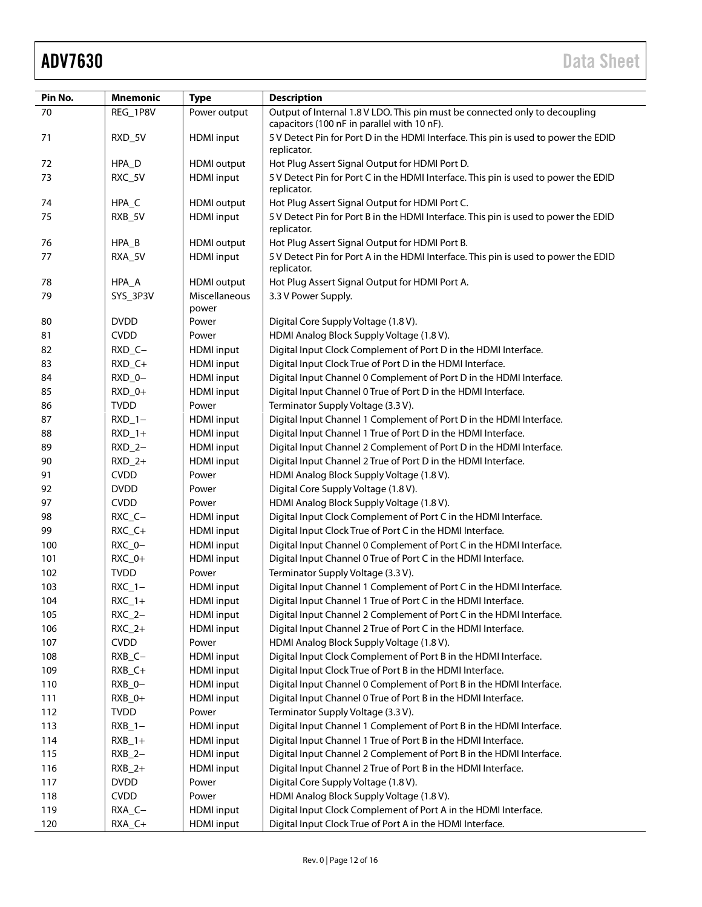| Pin No. | <b>Mnemonic</b> | <b>Type</b>            | <b>Description</b>                                                                                                         |
|---------|-----------------|------------------------|----------------------------------------------------------------------------------------------------------------------------|
| 70      | REG_1P8V        | Power output           | Output of Internal 1.8 V LDO. This pin must be connected only to decoupling<br>capacitors (100 nF in parallel with 10 nF). |
| 71      | RXD_5V          | <b>HDMI</b> input      | 5 V Detect Pin for Port D in the HDMI Interface. This pin is used to power the EDID<br>replicator.                         |
| 72      | HPA_D           | <b>HDMI</b> output     | Hot Plug Assert Signal Output for HDMI Port D.                                                                             |
| 73      | RXC_5V          | <b>HDMI</b> input      | 5 V Detect Pin for Port C in the HDMI Interface. This pin is used to power the EDID<br>replicator.                         |
| 74      | HPA_C           | <b>HDMI</b> output     | Hot Plug Assert Signal Output for HDMI Port C.                                                                             |
| 75      | RXB_5V          | <b>HDMI</b> input      | 5 V Detect Pin for Port B in the HDMI Interface. This pin is used to power the EDID<br>replicator.                         |
| 76      | $HPA_B$         | <b>HDMI</b> output     | Hot Plug Assert Signal Output for HDMI Port B.                                                                             |
| 77      | RXA_5V          | <b>HDMI</b> input      | 5 V Detect Pin for Port A in the HDMI Interface. This pin is used to power the EDID<br>replicator.                         |
| 78      | HPA_A           | <b>HDMI</b> output     | Hot Plug Assert Signal Output for HDMI Port A.                                                                             |
| 79      | SYS_3P3V        | Miscellaneous<br>power | 3.3 V Power Supply.                                                                                                        |
| 80      | <b>DVDD</b>     | Power                  | Digital Core Supply Voltage (1.8 V).                                                                                       |
| 81      | <b>CVDD</b>     | Power                  | HDMI Analog Block Supply Voltage (1.8 V).                                                                                  |
| 82      | $RXD_C -$       | <b>HDMI</b> input      | Digital Input Clock Complement of Port D in the HDMI Interface.                                                            |
| 83      | $RXD_C+$        | <b>HDMI</b> input      | Digital Input Clock True of Port D in the HDMI Interface.                                                                  |
| 84      | $RXD_0-$        | <b>HDMI</b> input      | Digital Input Channel 0 Complement of Port D in the HDMI Interface.                                                        |
| 85      | $RXD_0+$        | <b>HDMI</b> input      | Digital Input Channel 0 True of Port D in the HDMI Interface.                                                              |
| 86      | <b>TVDD</b>     | Power                  | Terminator Supply Voltage (3.3 V).                                                                                         |
| 87      | $RXD_1 -$       | <b>HDMI</b> input      | Digital Input Channel 1 Complement of Port D in the HDMI Interface.                                                        |
| 88      | $RXD_1+$        | <b>HDMI</b> input      | Digital Input Channel 1 True of Port D in the HDMI Interface.                                                              |
| 89      | $RXD_2-$        | <b>HDMI</b> input      | Digital Input Channel 2 Complement of Port D in the HDMI Interface.                                                        |
| 90      | $RXD_2+$        | <b>HDMI</b> input      | Digital Input Channel 2 True of Port D in the HDMI Interface.                                                              |
| 91      | <b>CVDD</b>     | Power                  | HDMI Analog Block Supply Voltage (1.8 V).                                                                                  |
| 92      | <b>DVDD</b>     | Power                  | Digital Core Supply Voltage (1.8 V).                                                                                       |
| 97      | <b>CVDD</b>     | Power                  | HDMI Analog Block Supply Voltage (1.8 V).                                                                                  |
| 98      | $RXC_C -$       | <b>HDMI</b> input      | Digital Input Clock Complement of Port C in the HDMI Interface.                                                            |
| 99      | $RXC_C +$       | <b>HDMI</b> input      | Digital Input Clock True of Port C in the HDMI Interface.                                                                  |
| 100     | RXC_0-          | <b>HDMI</b> input      | Digital Input Channel 0 Complement of Port C in the HDMI Interface.                                                        |
| 101     | RXC_0+          | <b>HDMI</b> input      | Digital Input Channel 0 True of Port C in the HDMI Interface.                                                              |
| 102     | <b>TVDD</b>     | Power                  | Terminator Supply Voltage (3.3 V).                                                                                         |
| 103     | $RXC_1 -$       | <b>HDMI</b> input      | Digital Input Channel 1 Complement of Port C in the HDMI Interface.                                                        |
| 104     | $RXC_1+$        | <b>HDMI</b> input      | Digital Input Channel 1 True of Port C in the HDMI Interface.                                                              |
| 105     | $RXC_2-$        | <b>HDMI</b> input      | Digital Input Channel 2 Complement of Port C in the HDMI Interface.                                                        |
| 106     | $RXC_2+$        | <b>HDMI</b> input      | Digital Input Channel 2 True of Port C in the HDMI Interface.                                                              |
| 107     | <b>CVDD</b>     | Power                  | HDMI Analog Block Supply Voltage (1.8 V).                                                                                  |
| 108     | $RXB_C -$       | <b>HDMI</b> input      | Digital Input Clock Complement of Port B in the HDMI Interface.                                                            |
| 109     | RXB_C+          | <b>HDMI</b> input      | Digital Input Clock True of Port B in the HDMI Interface.                                                                  |
| 110     | $RXB_0-$        | <b>HDMI</b> input      | Digital Input Channel 0 Complement of Port B in the HDMI Interface.                                                        |
| 111     | $RXB_0+$        | <b>HDMI</b> input      | Digital Input Channel 0 True of Port B in the HDMI Interface.                                                              |
| 112     | <b>TVDD</b>     | Power                  | Terminator Supply Voltage (3.3 V).                                                                                         |
| 113     | $RXB_1 -$       | <b>HDMI</b> input      | Digital Input Channel 1 Complement of Port B in the HDMI Interface.                                                        |
| 114     | $RXB_1+$        | <b>HDMI</b> input      | Digital Input Channel 1 True of Port B in the HDMI Interface.                                                              |
| 115     | $RXB_2-$        | <b>HDMI</b> input      | Digital Input Channel 2 Complement of Port B in the HDMI Interface.                                                        |
| 116     | $RXB_2+$        | <b>HDMI</b> input      | Digital Input Channel 2 True of Port B in the HDMI Interface.                                                              |
| 117     | <b>DVDD</b>     | Power                  | Digital Core Supply Voltage (1.8 V).                                                                                       |
| 118     | <b>CVDD</b>     | Power                  | HDMI Analog Block Supply Voltage (1.8 V).                                                                                  |
| 119     | RXA_C-          | <b>HDMI</b> input      | Digital Input Clock Complement of Port A in the HDMI Interface.                                                            |
| 120     | RXA_C+          | <b>HDMI</b> input      | Digital Input Clock True of Port A in the HDMI Interface.                                                                  |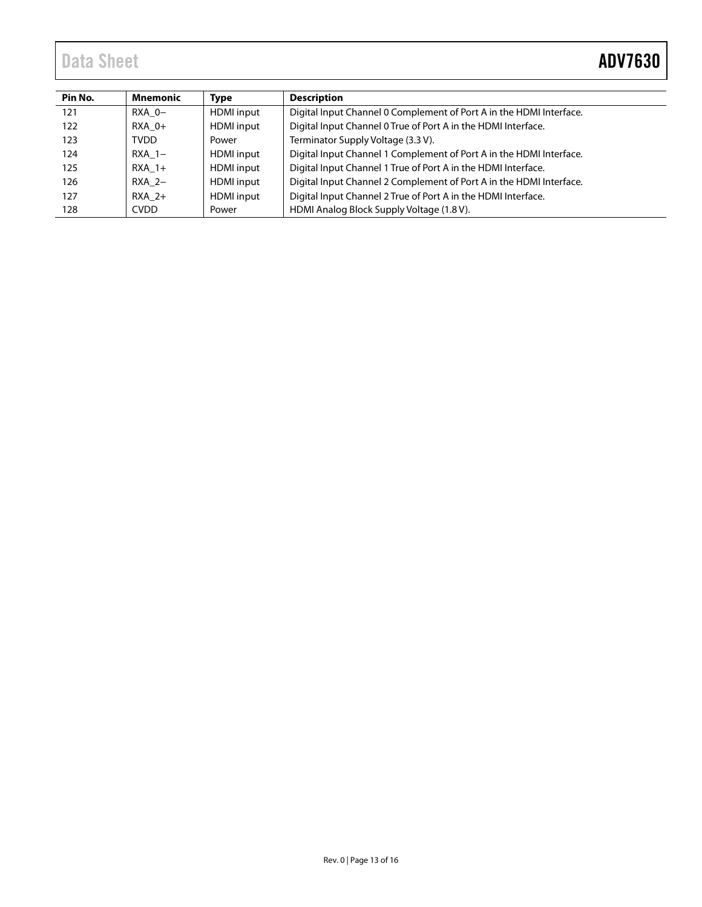# Data Sheet **ADV7630**

| Pin No. | Mnemonic    | <b>Type</b>       | <b>Description</b>                                                  |
|---------|-------------|-------------------|---------------------------------------------------------------------|
| 121     | RXA 0-      | <b>HDMI</b> input | Digital Input Channel 0 Complement of Port A in the HDMI Interface. |
| 122     | RXA 0+      | <b>HDMI</b> input | Digital Input Channel 0 True of Port A in the HDMI Interface.       |
| 123     | <b>TVDD</b> | Power             | Terminator Supply Voltage (3.3 V).                                  |
| 124     | $RXA$ 1-    | <b>HDMI</b> input | Digital Input Channel 1 Complement of Port A in the HDMI Interface. |
| 125     | $RXA$ 1+    | <b>HDMI</b> input | Digital Input Channel 1 True of Port A in the HDMI Interface.       |
| 126     | RXA 2-      | <b>HDMI</b> input | Digital Input Channel 2 Complement of Port A in the HDMI Interface. |
| 127     | $RXA$ 2+    | <b>HDMI</b> input | Digital Input Channel 2 True of Port A in the HDMI Interface.       |
| 128     | <b>CVDD</b> | Power             | HDMI Analog Block Supply Voltage (1.8 V).                           |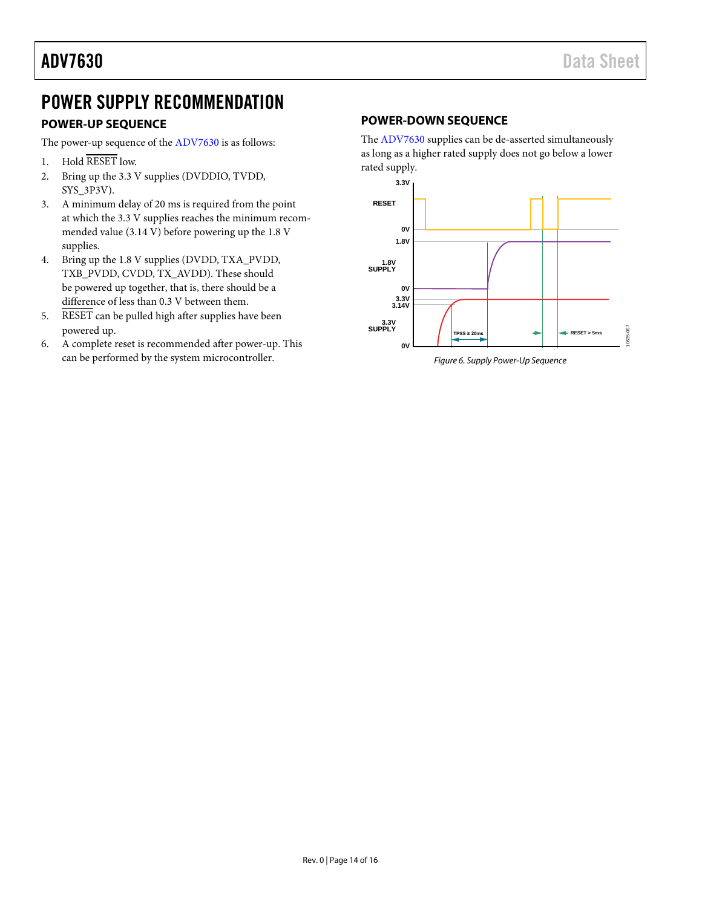# <span id="page-13-0"></span>POWER SUPPLY RECOMMENDATION

## <span id="page-13-1"></span>**POWER-UP SEQUENCE**

The power-up sequence of the [ADV7630](http://www.analog.com/ADV7630) is as follows:

- 1. Hold RESET low.
- 2. Bring up the 3.3 V supplies (DVDDIO, TVDD, SYS\_3P3V).
- 3. A minimum delay of 20 ms is required from the point at which the 3.3 V supplies reaches the minimum recommended value (3.14 V) before powering up the 1.8 V supplies.
- 4. Bring up the 1.8 V supplies (DVDD, TXA\_PVDD, TXB\_PVDD, CVDD, TX\_AVDD). These should be powered up together, that is, there should be a difference of less than 0.3 V between them.
- 5. RESET can be pulled high after supplies have been powered up.
- 6. A complete reset is recommended after power-up. This can be performed by the system microcontroller.

## <span id="page-13-2"></span>**POWER-DOWN SEQUENCE**

The [ADV7630](http://www.analog.com/ADV7630) supplies can be de-asserted simultaneously as long as a higher rated supply does not go below a lower rated supply.



*Figure 6. Supply Power-Up Sequence*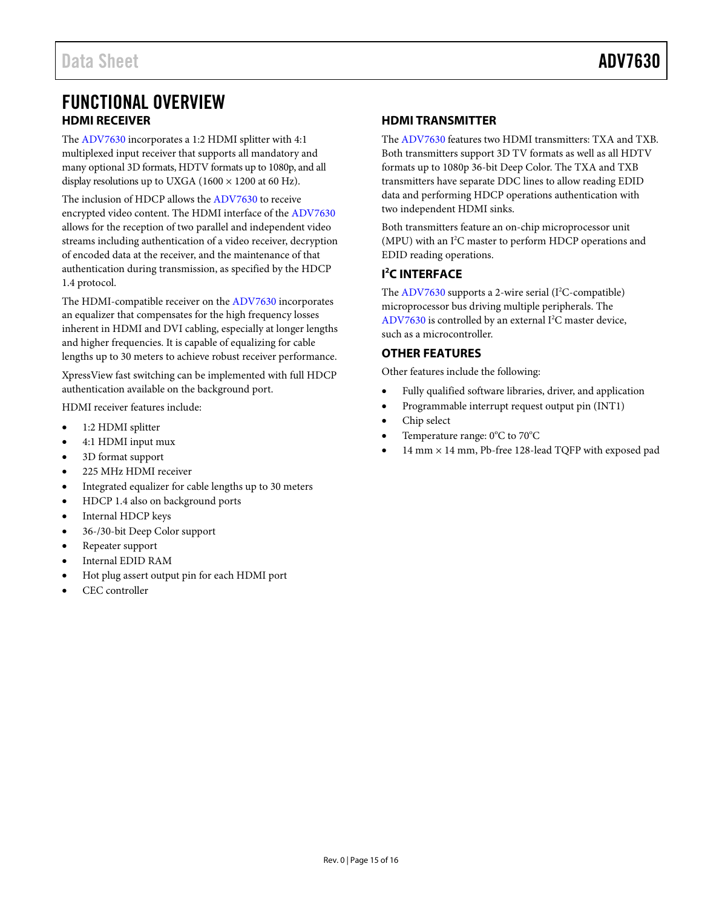# <span id="page-14-0"></span>FUNCTIONAL OVERVIEW **HDMI RECEIVER**

<span id="page-14-1"></span>The [ADV7630](http://www.analog.com/ADV7630) incorporates a 1:2 HDMI splitter with 4:1 multiplexed input receiver that supports all mandatory and many optional 3D formats, HDTV formats up to 1080p, and all display resolutions up to UXGA (1600  $\times$  1200 at 60 Hz).

The inclusion of HDCP allows th[e ADV7630](http://www.analog.com/ADV7630) to receive encrypted video content. The HDMI interface of th[e ADV7630](http://www.analog.com/ADV7630) allows for the reception of two parallel and independent video streams including authentication of a video receiver, decryption of encoded data at the receiver, and the maintenance of that authentication during transmission, as specified by the HDCP 1.4 protocol.

The HDMI-compatible receiver on the [ADV7630](http://www.analog.com/ADV7630) incorporates an equalizer that compensates for the high frequency losses inherent in HDMI and DVI cabling, especially at longer lengths and higher frequencies. It is capable of equalizing for cable lengths up to 30 meters to achieve robust receiver performance.

XpressView fast switching can be implemented with full HDCP authentication available on the background port.

HDMI receiver features include:

- 1:2 HDMI splitter
- 4:1 HDMI input mux
- 3D format support
- 225 MHz HDMI receiver
- Integrated equalizer for cable lengths up to 30 meters
- HDCP 1.4 also on background ports
- Internal HDCP keys
- 36-/30-bit Deep Color support
- Repeater support
- Internal EDID RAM
- Hot plug assert output pin for each HDMI port
- CEC controller

### <span id="page-14-2"></span>**HDMI TRANSMITTER**

The [ADV7630](http://www.analog.com/ADV7630) features two HDMI transmitters: TXA and TXB. Both transmitters support 3D TV formats as well as all HDTV formats up to 1080p 36-bit Deep Color. The TXA and TXB transmitters have separate DDC lines to allow reading EDID data and performing HDCP operations authentication with two independent HDMI sinks.

Both transmitters feature an on-chip microprocessor unit  $(MPU)$  with an I<sup>2</sup>C master to perform HDCP operations and EDID reading operations.

## <span id="page-14-3"></span>**I 2 C INTERFACE**

The [ADV7630](http://www.analog.com/ADV7630) supports a 2-wire serial (I<sup>2</sup>C-compatible) microprocessor bus driving multiple peripherals. The [ADV7630](http://www.analog.com/ADV7630) is controlled by an external  $I<sup>2</sup>C$  master device, such as a microcontroller.

### <span id="page-14-4"></span>**OTHER FEATURES**

Other features include the following:

- Fully qualified software libraries, driver, and application
- Programmable interrupt request output pin (INT1)
- Chip select
- Temperature range:  $0^{\circ}$ C to  $70^{\circ}$ C
- 14 mm × 14 mm, Pb-free 128-lead TQFP with exposed pad